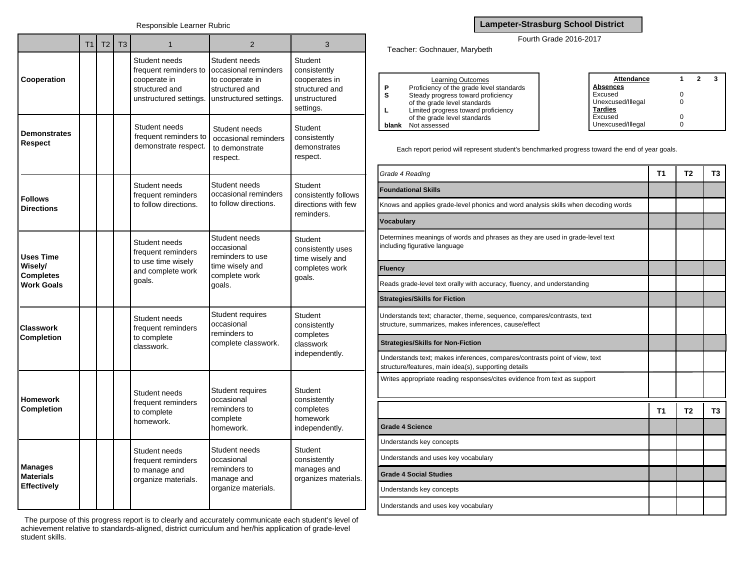|                                                                      | T <sub>1</sub> | T <sub>2</sub> | T3 | 1                                                                                                  | $\overline{2}$                                                                                       | 3                                                                                              |
|----------------------------------------------------------------------|----------------|----------------|----|----------------------------------------------------------------------------------------------------|------------------------------------------------------------------------------------------------------|------------------------------------------------------------------------------------------------|
| Cooperation                                                          |                |                |    | Student needs<br>frequent reminders to<br>cooperate in<br>structured and<br>unstructured settings. | Student needs<br>occasional reminders<br>to cooperate in<br>structured and<br>unstructured settings. | <b>Student</b><br>consistently<br>cooperates in<br>structured and<br>unstructured<br>settings. |
| <b>Demonstrates</b><br>Respect                                       |                |                |    | Student needs<br>frequent reminders to<br>demonstrate respect.                                     | Student needs<br>occasional reminders<br>to demonstrate<br>respect.                                  | Student<br>consistently<br>demonstrates<br>respect.                                            |
| <b>Follows</b><br><b>Directions</b>                                  |                |                |    | Student needs<br>frequent reminders<br>to follow directions.                                       | Student needs<br>occasional reminders<br>to follow directions.                                       | <b>Student</b><br>consistently follows<br>directions with few<br>reminders.                    |
| <b>Uses Time</b><br>Wisely/<br><b>Completes</b><br><b>Work Goals</b> |                |                |    | Student needs<br>frequent reminders<br>to use time wisely<br>and complete work<br>goals.           | Student needs<br>occasional<br>reminders to use<br>time wisely and<br>complete work<br>goals.        | Student<br>consistently uses<br>time wisely and<br>completes work<br>qoals.                    |
| <b>Classwork</b><br><b>Completion</b>                                |                |                |    | Student needs<br>frequent reminders<br>to complete<br>classwork.                                   | Student requires<br>occasional<br>reminders to<br>complete classwork.                                | <b>Student</b><br>consistently<br>completes<br>classwork<br>independently.                     |
| <b>Homework</b><br><b>Completion</b>                                 |                |                |    | Student needs<br>frequent reminders<br>to complete<br>homework.                                    | <b>Student requires</b><br>occasional<br>reminders to<br>complete<br>homework.                       | <b>Student</b><br>consistently<br>completes<br>homework<br>independently.                      |
| <b>Manages</b><br><b>Materials</b><br><b>Effectively</b>             |                |                |    | Student needs<br>frequent reminders<br>to manage and<br>organize materials.                        | Student needs<br>occasional<br>reminders to<br>manage and<br>organize materials.                     | <b>Student</b><br>consistently<br>manages and<br>organizes materials.                          |

The purpose of this progress report is to clearly and accurately communicate each student's level of achievement relative to standards-aligned, district curriculum and her/his application of grade-level student skills.

## **Lampeter-Strasburg School District**

Fourth Grade 2016-2017

Teacher: Gochnauer, Marybeth

|       | <b>Learning Outcomes</b>                 | Attendance        |  |  |
|-------|------------------------------------------|-------------------|--|--|
| D     | Proficiency of the grade level standards | Absences          |  |  |
| s     | Steady progress toward proficiency       | Excused           |  |  |
|       | of the grade level standards             | Unexcused/Illegal |  |  |
|       | Limited progress toward proficiency      | <b>Tardies</b>    |  |  |
|       | of the grade level standards             | Excused           |  |  |
| blank | Not assessed                             | Unexcused/Illegal |  |  |

Each report period will represent student's benchmarked progress toward the end of year goals.

| Grade 4 Reading                                                                                                                    | <b>T1</b>      | T <sub>2</sub> | T3             |
|------------------------------------------------------------------------------------------------------------------------------------|----------------|----------------|----------------|
| <b>Foundational Skills</b>                                                                                                         |                |                |                |
| Knows and applies grade-level phonics and word analysis skills when decoding words                                                 |                |                |                |
| <b>Vocabulary</b>                                                                                                                  |                |                |                |
| Determines meanings of words and phrases as they are used in grade-level text<br>including figurative language                     |                |                |                |
| <b>Fluency</b>                                                                                                                     |                |                |                |
| Reads grade-level text orally with accuracy, fluency, and understanding                                                            |                |                |                |
| <b>Strategies/Skills for Fiction</b>                                                                                               |                |                |                |
| Understands text; character, theme, sequence, compares/contrasts, text<br>structure, summarizes, makes inferences, cause/effect    |                |                |                |
| <b>Strategies/Skills for Non-Fiction</b>                                                                                           |                |                |                |
| Understands text; makes inferences, compares/contrasts point of view, text<br>structure/features, main idea(s), supporting details |                |                |                |
| Writes appropriate reading responses/cites evidence from text as support                                                           |                |                |                |
|                                                                                                                                    | T <sub>1</sub> | T <sub>2</sub> | T <sub>3</sub> |
| <b>Grade 4 Science</b>                                                                                                             |                |                |                |
| Understands key concepts                                                                                                           |                |                |                |
| Understands and uses key vocabulary                                                                                                |                |                |                |
| <b>Grade 4 Social Studies</b>                                                                                                      |                |                |                |
| Understands key concepts                                                                                                           |                |                |                |
| Understands and uses key vocabulary                                                                                                |                |                |                |